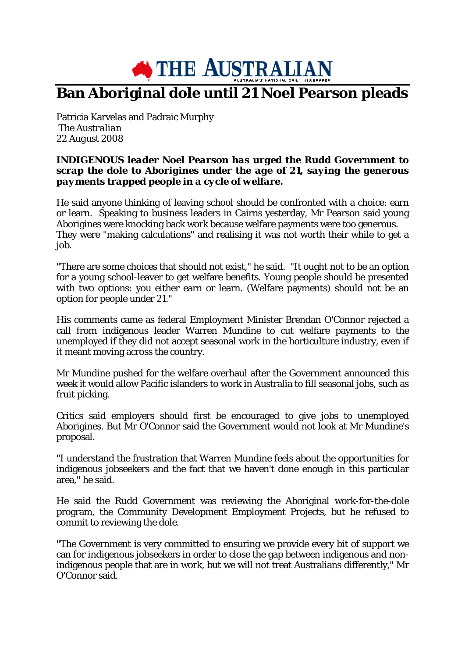

## **Ban Aboriginal dole until 21 Noel Pearson pleads**

Patricia Karvelas and Padraic Murphy *The Australian 22 August 2008*

## *INDIGENOUS leader Noel Pearson has urged the Rudd Government to scrap the dole to Aborigines under the age of 21, saying the generous payments trapped people in a cycle of welfare.*

He said anyone thinking of leaving school should be confronted with a choice: earn or learn. Speaking to business leaders in Cairns yesterday, Mr Pearson said young Aborigines were knocking back work because welfare payments were too generous. They were "making calculations" and realising it was not worth their while to get a job.

"There are some choices that should not exist," he said. "It ought not to be an option for a young school-leaver to get welfare benefits. Young people should be presented with two options: you either earn or learn. (Welfare payments) should not be an option for people under 21."

His comments came as federal Employment Minister Brendan O'Connor rejected a call from indigenous leader Warren Mundine to cut welfare payments to the unemployed if they did not accept seasonal work in the horticulture industry, even if it meant moving across the country.

Mr Mundine pushed for the welfare overhaul after the Government announced this week it would allow Pacific islanders to work in Australia to fill seasonal jobs, such as fruit picking.

Critics said employers should first be encouraged to give jobs to unemployed Aborigines. But Mr O'Connor said the Government would not look at Mr Mundine's proposal.

"I understand the frustration that Warren Mundine feels about the opportunities for indigenous jobseekers and the fact that we haven't done enough in this particular area," he said.

He said the Rudd Government was reviewing the Aboriginal work-for-the-dole program, the Community Development Employment Projects, but he refused to commit to reviewing the dole.

"The Government is very committed to ensuring we provide every bit of support we can for indigenous jobseekers in order to close the gap between indigenous and nonindigenous people that are in work, but we will not treat Australians differently," Mr O'Connor said.